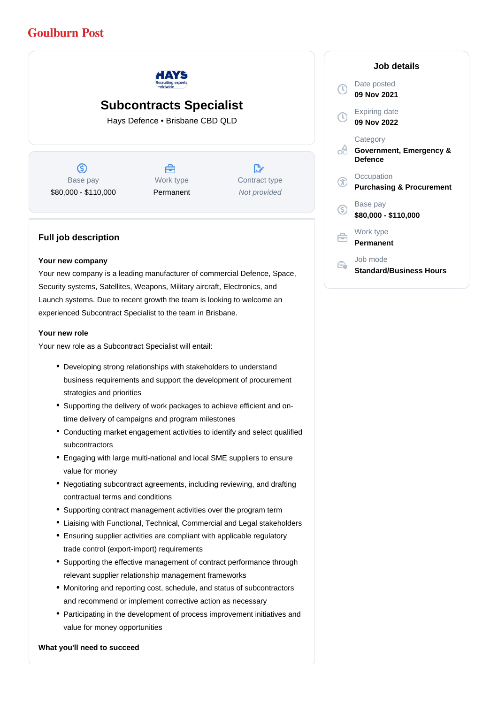# **Goulburn Post**



## **Subcontracts Specialist**

Hays Defence • Brisbane CBD QLD

 $\circledS$ Base pay \$80,000 - \$110,000

Å Work type Permanent

 $\mathbb{R}$ Contract type Not provided

### **Full job description**

#### **Your new company**

Your new company is a leading manufacturer of commercial Defence, Space, Security systems, Satellites, Weapons, Military aircraft, Electronics, and Launch systems. Due to recent growth the team is looking to welcome an experienced Subcontract Specialist to the team in Brisbane.

#### **Your new role**

Your new role as a Subcontract Specialist will entail:

- Developing strong relationships with stakeholders to understand business requirements and support the development of procurement strategies and priorities
- Supporting the delivery of work packages to achieve efficient and ontime delivery of campaigns and program milestones
- Conducting market engagement activities to identify and select qualified subcontractors
- Engaging with large multi-national and local SME suppliers to ensure value for money
- Negotiating subcontract agreements, including reviewing, and drafting contractual terms and conditions
- Supporting contract management activities over the program term
- Liaising with Functional, Technical, Commercial and Legal stakeholders
- Ensuring supplier activities are compliant with applicable regulatory trade control (export-import) requirements
- Supporting the effective management of contract performance through relevant supplier relationship management frameworks
- Monitoring and reporting cost, schedule, and status of subcontractors and recommend or implement corrective action as necessary
- Participating in the development of process improvement initiatives and value for money opportunities

#### **What you'll need to succeed**

|                | Job details                                           |
|----------------|-------------------------------------------------------|
|                | Date posted<br>09 Nov 2021                            |
| $(\mathbb{C})$ | <b>Expiring date</b><br>09 Nov 2022                   |
|                | Category<br>Government, Emergency &<br><b>Defence</b> |
|                | Occupation<br><b>Purchasing &amp; Procurement</b>     |
| (ś             | Base pay<br>\$80,000 - \$110,000                      |
|                | Work type<br>Permanent                                |
|                | Job mode<br><b>Standard/Business Hours</b>            |